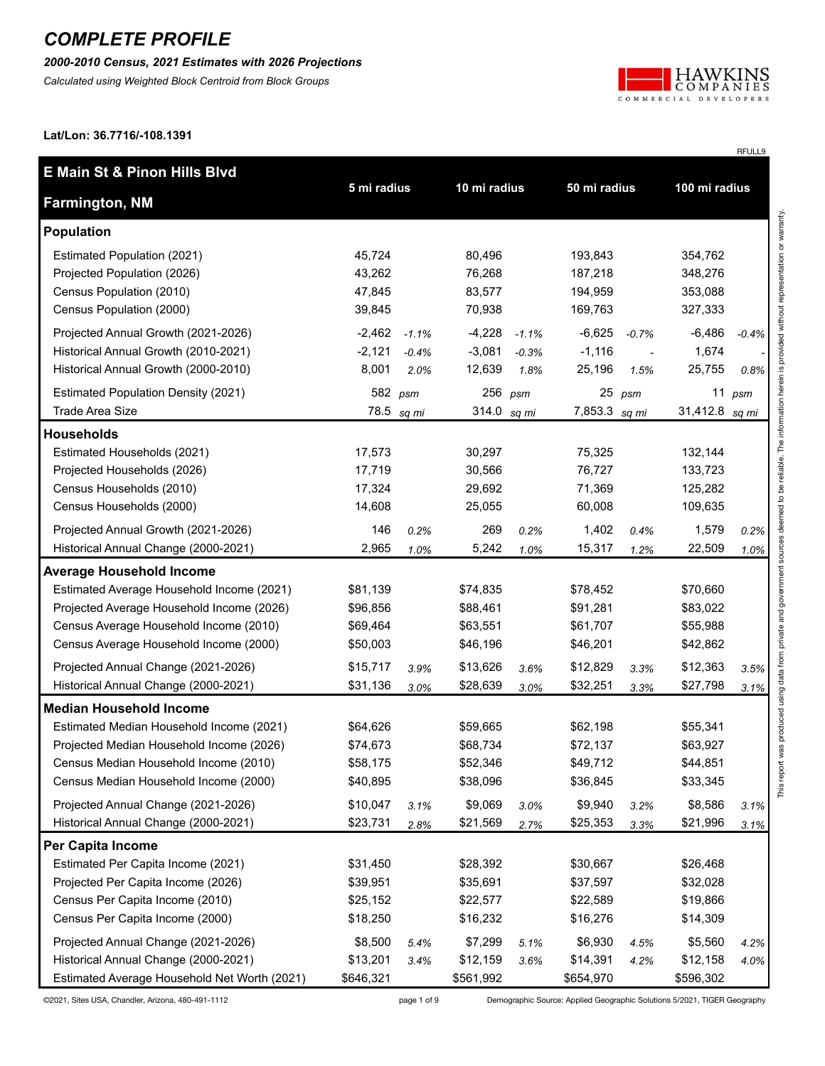*2000-2010 Census, 2021 Estimates with 2026 Projections*

*Calculated using Weighted Block Centroid from Block Groups*



RFULL9

**Lat/Lon: 36.7716/-108.1391**

| <b>E Main St &amp; Pinon Hills Blvd</b>      |             |            |              |           |               |                          | 100 mi radius  |                                                                                               |
|----------------------------------------------|-------------|------------|--------------|-----------|---------------|--------------------------|----------------|-----------------------------------------------------------------------------------------------|
| <b>Farmington, NM</b>                        | 5 mi radius |            | 10 mi radius |           | 50 mi radius  |                          |                |                                                                                               |
| <b>Population</b>                            |             |            |              |           |               |                          |                | deemed to be reliable. The information herein is provided without representation or warranty. |
| Estimated Population (2021)                  | 45,724      |            | 80,496       |           | 193,843       |                          | 354,762        |                                                                                               |
| Projected Population (2026)                  | 43,262      |            | 76,268       |           | 187,218       |                          | 348,276        |                                                                                               |
| Census Population (2010)                     | 47,845      |            | 83,577       |           | 194,959       |                          | 353,088        |                                                                                               |
| Census Population (2000)                     | 39,845      |            | 70,938       |           | 169,763       |                          | 327,333        |                                                                                               |
| Projected Annual Growth (2021-2026)          | $-2,462$    | $-1.1%$    | $-4,228$     | $-1.1%$   | $-6,625$      | $-0.7%$                  | $-6,486$       | $-0.4%$                                                                                       |
| Historical Annual Growth (2010-2021)         | $-2,121$    | $-0.4%$    | $-3,081$     | $-0.3%$   | $-1,116$      | $\overline{\phantom{a}}$ | 1,674          |                                                                                               |
| Historical Annual Growth (2000-2010)         | 8,001       | 2.0%       | 12,639       | 1.8%      | 25,196        | 1.5%                     | 25,755         | 0.8%                                                                                          |
| <b>Estimated Population Density (2021)</b>   |             | 582 psm    |              | $256$ psm | 25            | psm                      |                | 11 $psm$                                                                                      |
| <b>Trade Area Size</b>                       |             | 78.5 sq mi | 314.0 sq mi  |           | 7,853.3 sq mi |                          | 31,412.8 sq mi |                                                                                               |
| <b>Households</b>                            |             |            |              |           |               |                          |                |                                                                                               |
| Estimated Households (2021)                  | 17,573      |            | 30,297       |           | 75,325        |                          | 132,144        |                                                                                               |
| Projected Households (2026)                  | 17,719      |            | 30,566       |           | 76,727        |                          | 133,723        |                                                                                               |
| Census Households (2010)                     | 17,324      |            | 29,692       |           | 71,369        |                          | 125,282        |                                                                                               |
| Census Households (2000)                     | 14,608      |            | 25,055       |           | 60,008        |                          | 109,635        |                                                                                               |
| Projected Annual Growth (2021-2026)          | 146         | 0.2%       | 269          | 0.2%      | 1,402         | 0.4%                     | 1,579          | 0.2%                                                                                          |
| Historical Annual Change (2000-2021)         | 2,965       | 1.0%       | 5,242        | 1.0%      | 15,317        | 1.2%                     | 22,509         | 1.0%                                                                                          |
| <b>Average Household Income</b>              |             |            |              |           |               |                          |                |                                                                                               |
| Estimated Average Household Income (2021)    | \$81,139    |            | \$74,835     |           | \$78,452      |                          | \$70,660       |                                                                                               |
| Projected Average Household Income (2026)    | \$96,856    |            | \$88,461     |           | \$91,281      |                          | \$83,022       |                                                                                               |
| Census Average Household Income (2010)       | \$69,464    |            | \$63,551     |           | \$61,707      |                          | \$55,988       | private and government                                                                        |
| Census Average Household Income (2000)       | \$50,003    |            | \$46,196     |           | \$46,201      |                          | \$42,862       |                                                                                               |
| Projected Annual Change (2021-2026)          | \$15,717    | 3.9%       | \$13,626     | 3.6%      | \$12,829      | 3.3%                     | \$12,363       | 3.5%                                                                                          |
| Historical Annual Change (2000-2021)         | \$31,136    | 3.0%       | \$28,639     | 3.0%      | \$32,251      | 3.3%                     | \$27,798       | 3.1%                                                                                          |
| <b>Median Household Income</b>               |             |            |              |           |               |                          |                | ort was produced using data from                                                              |
| Estimated Median Household Income (2021)     | \$64,626    |            | \$59,665     |           | \$62,198      |                          | \$55,341       |                                                                                               |
| Projected Median Household Income (2026)     | \$74,673    |            | \$68,734     |           | \$72,137      |                          | \$63,927       |                                                                                               |
| Census Median Household Income (2010)        | \$58,175    |            | \$52.346     |           | \$49,712      |                          | \$44,851       |                                                                                               |
| Census Median Household Income (2000)        | \$40,895    |            | \$38,096     |           | \$36,845      |                          | \$33,345       | This rep                                                                                      |
| Projected Annual Change (2021-2026)          | \$10,047    | 3.1%       | \$9,069      | 3.0%      | \$9,940       | 3.2%                     | \$8,586        | 3.1%                                                                                          |
| Historical Annual Change (2000-2021)         | \$23,731    | 2.8%       | \$21,569     | 2.7%      | \$25,353      | 3.3%                     | \$21,996       | 3.1%                                                                                          |
| Per Capita Income                            |             |            |              |           |               |                          |                |                                                                                               |
| Estimated Per Capita Income (2021)           | \$31,450    |            | \$28,392     |           | \$30,667      |                          | \$26,468       |                                                                                               |
| Projected Per Capita Income (2026)           | \$39,951    |            | \$35,691     |           | \$37,597      |                          | \$32,028       |                                                                                               |
| Census Per Capita Income (2010)              | \$25,152    |            | \$22,577     |           | \$22,589      |                          | \$19,866       |                                                                                               |
| Census Per Capita Income (2000)              | \$18,250    |            | \$16,232     |           | \$16,276      |                          | \$14,309       |                                                                                               |
| Projected Annual Change (2021-2026)          | \$8,500     | 5.4%       | \$7,299      | 5.1%      | \$6,930       | 4.5%                     | \$5,560        | 4.2%                                                                                          |
| Historical Annual Change (2000-2021)         | \$13,201    | 3.4%       | \$12,159     | 3.6%      | \$14,391      | 4.2%                     | \$12,158       | 4.0%                                                                                          |
| Estimated Average Household Net Worth (2021) | \$646,321   |            | \$561,992    |           | \$654,970     |                          | \$596,302      |                                                                                               |

©2021, Sites USA, Chandler, Arizona, 480-491-1112 page 1 of 9 Demographic Source: Applied Geographic Solutions 5/2021, TIGER Geography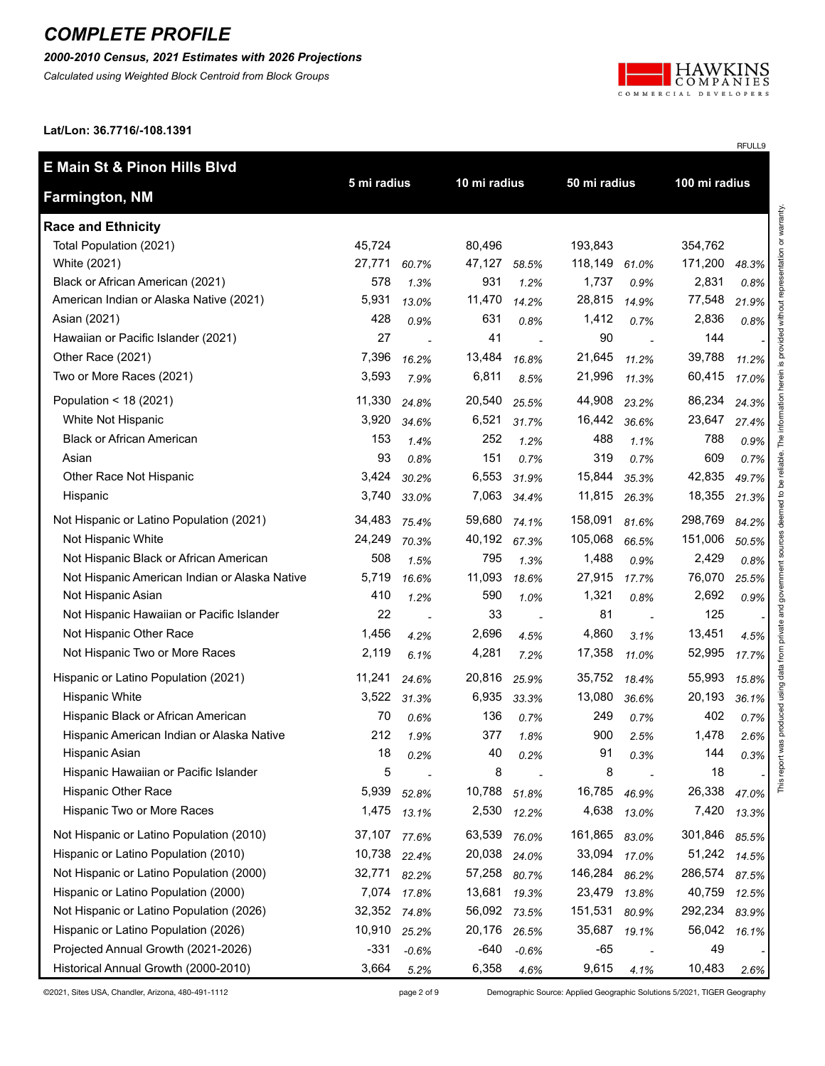#### *2000-2010 Census, 2021 Estimates with 2026 Projections*

*Calculated using Weighted Block Centroid from Block Groups*



RFULL9

**Lat/Lon: 36.7716/-108.1391**

| <b>E Main St &amp; Pinon Hills Blvd</b>       |             |                          |              |         |              |       |               |       |
|-----------------------------------------------|-------------|--------------------------|--------------|---------|--------------|-------|---------------|-------|
| <b>Farmington, NM</b>                         | 5 mi radius |                          | 10 mi radius |         | 50 mi radius |       | 100 mi radius |       |
| <b>Race and Ethnicity</b>                     |             |                          |              |         |              |       |               |       |
| Total Population (2021)                       | 45,724      |                          | 80,496       |         | 193,843      |       | 354,762       |       |
| White (2021)                                  | 27,771      | 60.7%                    | 47,127       | 58.5%   | 118,149      | 61.0% | 171,200       | 48.3% |
| Black or African American (2021)              | 578         | 1.3%                     | 931          | 1.2%    | 1,737        | 0.9%  | 2,831         | 0.8%  |
| American Indian or Alaska Native (2021)       | 5,931       | 13.0%                    | 11,470       | 14.2%   | 28,815       | 14.9% | 77,548        | 21.9% |
| Asian (2021)                                  | 428         | 0.9%                     | 631          | 0.8%    | 1,412        | 0.7%  | 2,836         | 0.8%  |
| Hawaiian or Pacific Islander (2021)           | 27          | $\overline{\phantom{a}}$ | 41           | $\sim$  | 90           |       | 144           |       |
| Other Race (2021)                             | 7,396       | 16.2%                    | 13,484       | 16.8%   | 21,645       | 11.2% | 39,788        | 11.2% |
| Two or More Races (2021)                      | 3,593       | 7.9%                     | 6,811        | 8.5%    | 21,996       | 11.3% | 60,415        | 17.0% |
| Population < 18 (2021)                        | 11,330      | 24.8%                    | 20,540       | 25.5%   | 44,908       | 23.2% | 86,234        | 24.3% |
| White Not Hispanic                            | 3,920       | 34.6%                    | 6,521        | 31.7%   | 16,442       | 36.6% | 23,647        | 27.4% |
| <b>Black or African American</b>              | 153         | 1.4%                     | 252          | 1.2%    | 488          | 1.1%  | 788           | 0.9%  |
| Asian                                         | 93          | 0.8%                     | 151          | 0.7%    | 319          | 0.7%  | 609           | 0.7%  |
| Other Race Not Hispanic                       | 3,424       | 30.2%                    | 6,553        | 31.9%   | 15,844       | 35.3% | 42,835        | 49.7% |
| Hispanic                                      | 3,740       | 33.0%                    | 7,063        | 34.4%   | 11,815       | 26.3% | 18,355        | 21.3% |
| Not Hispanic or Latino Population (2021)      | 34,483      | 75.4%                    | 59,680       | 74.1%   | 158,091      | 81.6% | 298,769       | 84.2% |
| Not Hispanic White                            | 24,249      | 70.3%                    | 40,192       | 67.3%   | 105,068      | 66.5% | 151,006       | 50.5% |
| Not Hispanic Black or African American        | 508         | 1.5%                     | 795          | 1.3%    | 1,488        | 0.9%  | 2,429         | 0.8%  |
| Not Hispanic American Indian or Alaska Native | 5,719       | 16.6%                    | 11,093       | 18.6%   | 27,915       | 17.7% | 76,070        | 25.5% |
| Not Hispanic Asian                            | 410         | 1.2%                     | 590          | 1.0%    | 1,321        | 0.8%  | 2,692         | 0.9%  |
| Not Hispanic Hawaiian or Pacific Islander     | 22          |                          | 33           |         | 81           |       | 125           |       |
| Not Hispanic Other Race                       | 1,456       | 4.2%                     | 2,696        | 4.5%    | 4,860        | 3.1%  | 13,451        | 4.5%  |
| Not Hispanic Two or More Races                | 2,119       | 6.1%                     | 4,281        | 7.2%    | 17,358       | 11.0% | 52,995        | 17.7% |
| Hispanic or Latino Population (2021)          | 11,241      | 24.6%                    | 20,816       | 25.9%   | 35,752       | 18.4% | 55,993        | 15.8% |
| <b>Hispanic White</b>                         | 3,522       | 31.3%                    | 6,935        | 33.3%   | 13,080       | 36.6% | 20,193        | 36.1% |
| Hispanic Black or African American            | 70          | 0.6%                     | 136          | 0.7%    | 249          | 0.7%  | 402           | 0.7%  |
| Hispanic American Indian or Alaska Native     | 212         | 1.9%                     | 377          | 1.8%    | 900          | 2.5%  | 1,478         | 2.6%  |
| Hispanic Asian                                | 18          | 0.2%                     | 40           | 0.2%    | 91           | 0.3%  | 144           | 0.3%  |
| Hispanic Hawaiian or Pacific Islander         | 5           |                          | 8            |         | 8            |       | 18            |       |
| Hispanic Other Race                           | 5,939       | 52.8%                    | 10,788       | 51.8%   | 16,785       | 46.9% | 26,338        | 47.0% |
| Hispanic Two or More Races                    | 1,475       | 13.1%                    | 2,530        | 12.2%   | 4,638        | 13.0% | 7,420         | 13.3% |
| Not Hispanic or Latino Population (2010)      | 37,107      | 77.6%                    | 63,539       | 76.0%   | 161,865      | 83.0% | 301,846       | 85.5% |
| Hispanic or Latino Population (2010)          | 10,738      | 22.4%                    | 20,038       | 24.0%   | 33,094       | 17.0% | 51,242        | 14.5% |
| Not Hispanic or Latino Population (2000)      | 32,771      | 82.2%                    | 57,258       | 80.7%   | 146,284      | 86.2% | 286,574       | 87.5% |
| Hispanic or Latino Population (2000)          | 7,074       | 17.8%                    | 13,681       | 19.3%   | 23,479       | 13.8% | 40,759        | 12.5% |
| Not Hispanic or Latino Population (2026)      | 32,352      | 74.8%                    | 56,092       | 73.5%   | 151,531      | 80.9% | 292,234       | 83.9% |
| Hispanic or Latino Population (2026)          | 10,910      | 25.2%                    | 20,176       | 26.5%   | 35,687       | 19.1% | 56,042        | 16.1% |
| Projected Annual Growth (2021-2026)           | $-331$      | $-0.6%$                  | $-640$       | $-0.6%$ | $-65$        |       | 49            |       |
| Historical Annual Growth (2000-2010)          | 3,664       | 5.2%                     | 6,358        | 4.6%    | 9,615        | 4.1%  | 10,483        | 2.6%  |

©2021, Sites USA, Chandler, Arizona, 480-491-1112 page 2 of 9 Demographic Source: Applied Geographic Solutions 5/2021, TIGER Geography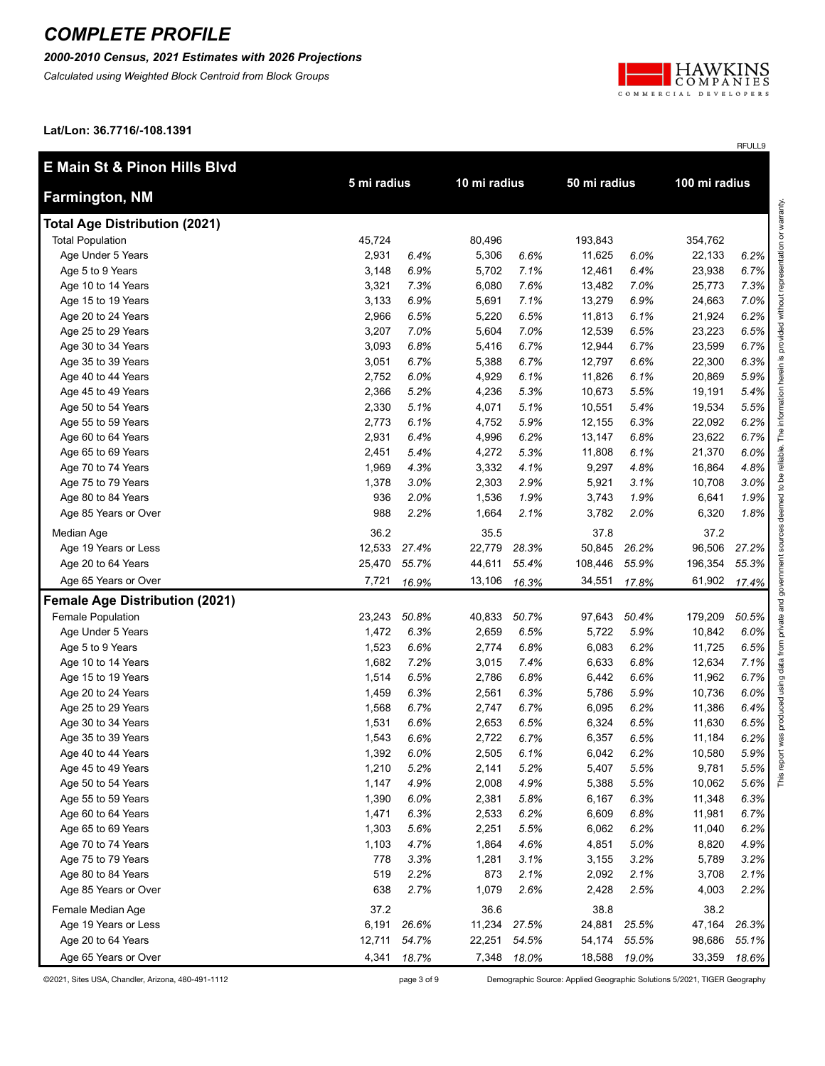#### *2000-2010 Census, 2021 Estimates with 2026 Projections*

*Calculated using Weighted Block Centroid from Block Groups*



RFULL9

**Lat/Lon: 36.7716/-108.1391**

| E Main St & Pinon Hills Blvd          |             |       |              |       |              |       |               |       |
|---------------------------------------|-------------|-------|--------------|-------|--------------|-------|---------------|-------|
| <b>Farmington, NM</b>                 | 5 mi radius |       | 10 mi radius |       | 50 mi radius |       | 100 mi radius |       |
| <b>Total Age Distribution (2021)</b>  |             |       |              |       |              |       |               |       |
| <b>Total Population</b>               | 45,724      |       | 80,496       |       | 193,843      |       | 354,762       |       |
| Age Under 5 Years                     | 2,931       | 6.4%  | 5,306        | 6.6%  | 11,625       | 6.0%  | 22,133        | 6.2%  |
| Age 5 to 9 Years                      | 3,148       | 6.9%  | 5,702        | 7.1%  | 12,461       | 6.4%  | 23,938        | 6.7%  |
| Age 10 to 14 Years                    | 3,321       | 7.3%  | 6,080        | 7.6%  | 13,482       | 7.0%  | 25,773        | 7.3%  |
| Age 15 to 19 Years                    | 3,133       | 6.9%  | 5,691        | 7.1%  | 13,279       | 6.9%  | 24,663        | 7.0%  |
| Age 20 to 24 Years                    | 2,966       | 6.5%  | 5,220        | 6.5%  | 11,813       | 6.1%  | 21,924        | 6.2%  |
| Age 25 to 29 Years                    | 3,207       | 7.0%  | 5,604        | 7.0%  | 12,539       | 6.5%  | 23,223        | 6.5%  |
| Age 30 to 34 Years                    | 3,093       | 6.8%  | 5,416        | 6.7%  | 12,944       | 6.7%  | 23,599        | 6.7%  |
| Age 35 to 39 Years                    | 3,051       | 6.7%  | 5,388        | 6.7%  | 12,797       | 6.6%  | 22,300        | 6.3%  |
| Age 40 to 44 Years                    | 2,752       | 6.0%  | 4,929        | 6.1%  | 11,826       | 6.1%  | 20,869        | 5.9%  |
| Age 45 to 49 Years                    | 2,366       | 5.2%  | 4,236        | 5.3%  | 10,673       | 5.5%  | 19,191        | 5.4%  |
| Age 50 to 54 Years                    | 2,330       | 5.1%  | 4,071        | 5.1%  | 10,551       | 5.4%  | 19,534        | 5.5%  |
| Age 55 to 59 Years                    | 2,773       | 6.1%  | 4,752        | 5.9%  | 12,155       | 6.3%  | 22,092        | 6.2%  |
| Age 60 to 64 Years                    | 2,931       | 6.4%  | 4,996        | 6.2%  | 13,147       | 6.8%  | 23,622        | 6.7%  |
| Age 65 to 69 Years                    | 2,451       | 5.4%  | 4,272        | 5.3%  | 11,808       | 6.1%  | 21,370        | 6.0%  |
| Age 70 to 74 Years                    | 1,969       | 4.3%  | 3,332        | 4.1%  | 9,297        | 4.8%  | 16,864        | 4.8%  |
| Age 75 to 79 Years                    | 1,378       | 3.0%  | 2,303        | 2.9%  | 5,921        | 3.1%  | 10,708        | 3.0%  |
| Age 80 to 84 Years                    | 936         | 2.0%  | 1,536        | 1.9%  | 3,743        | 1.9%  | 6,641         | 1.9%  |
| Age 85 Years or Over                  | 988         | 2.2%  | 1,664        | 2.1%  | 3,782        | 2.0%  | 6,320         | 1.8%  |
| Median Age                            | 36.2        |       | 35.5         |       | 37.8         |       | 37.2          |       |
| Age 19 Years or Less                  | 12,533      | 27.4% | 22,779       | 28.3% | 50,845       | 26.2% | 96,506        | 27.2% |
| Age 20 to 64 Years                    | 25,470      | 55.7% | 44,611       | 55.4% | 108,446      | 55.9% | 196,354       | 55.3% |
| Age 65 Years or Over                  | 7,721       | 16.9% | 13,106       | 16.3% | 34,551       | 17.8% | 61,902        | 17.4% |
| <b>Female Age Distribution (2021)</b> |             |       |              |       |              |       |               |       |
| Female Population                     | 23,243      | 50.8% | 40,833       | 50.7% | 97,643       | 50.4% | 179,209       | 50.5% |
| Age Under 5 Years                     | 1,472       | 6.3%  | 2,659        | 6.5%  | 5,722        | 5.9%  | 10,842        | 6.0%  |
| Age 5 to 9 Years                      | 1,523       | 6.6%  | 2,774        | 6.8%  | 6,083        | 6.2%  | 11,725        | 6.5%  |
| Age 10 to 14 Years                    | 1,682       | 7.2%  | 3,015        | 7.4%  | 6,633        | 6.8%  | 12,634        | 7.1%  |
| Age 15 to 19 Years                    | 1,514       | 6.5%  | 2,786        | 6.8%  | 6,442        | 6.6%  | 11,962        | 6.7%  |
| Age 20 to 24 Years                    | 1,459       | 6.3%  | 2,561        | 6.3%  | 5,786        | 5.9%  | 10,736        | 6.0%  |
| Age 25 to 29 Years                    | 1,568       | 6.7%  | 2,747        | 6.7%  | 6,095        | 6.2%  | 11,386        | 6.4%  |
| Age 30 to 34 Years                    | 1,531       | 6.6%  | 2,653        | 6.5%  | 6,324        | 6.5%  | 11,630        | 6.5%  |
| Age 35 to 39 Years                    | 1,543       | 6.6%  | 2,722        | 6.7%  | 6,357        | 6.5%  | 11,184        | 6.2%  |
| Age 40 to 44 Years                    | 1,392       | 6.0%  | 2,505        | 6.1%  | 6,042        | 6.2%  | 10,580        | 5.9%  |
| Age 45 to 49 Years                    | 1,210       | 5.2%  | 2,141        | 5.2%  | 5,407        | 5.5%  | 9,781         | 5.5%  |
| Age 50 to 54 Years                    | 1,147       | 4.9%  | 2,008        | 4.9%  | 5,388        | 5.5%  | 10,062        | 5.6%  |
| Age 55 to 59 Years                    | 1,390       | 6.0%  | 2,381        | 5.8%  | 6,167        | 6.3%  | 11,348        | 6.3%  |
| Age 60 to 64 Years                    | 1,471       | 6.3%  | 2,533        | 6.2%  | 6,609        | 6.8%  | 11,981        | 6.7%  |
| Age 65 to 69 Years                    | 1,303       | 5.6%  | 2,251        | 5.5%  | 6,062        | 6.2%  | 11,040        | 6.2%  |
| Age 70 to 74 Years                    | 1,103       | 4.7%  | 1,864        | 4.6%  | 4,851        | 5.0%  | 8,820         | 4.9%  |
| Age 75 to 79 Years                    | 778         | 3.3%  | 1,281        | 3.1%  | 3,155        | 3.2%  | 5,789         | 3.2%  |
| Age 80 to 84 Years                    | 519         | 2.2%  | 873          | 2.1%  | 2,092        | 2.1%  | 3,708         | 2.1%  |
| Age 85 Years or Over                  | 638         | 2.7%  | 1,079        | 2.6%  | 2,428        | 2.5%  | 4,003         | 2.2%  |
| Female Median Age                     | 37.2        |       | 36.6         |       | 38.8         |       | 38.2          |       |
| Age 19 Years or Less                  | 6,191       | 26.6% | 11,234       | 27.5% | 24,881       | 25.5% | 47,164        | 26.3% |
| Age 20 to 64 Years                    | 12,711      | 54.7% | 22,251       | 54.5% | 54,174       | 55.5% | 98,686        | 55.1% |
| Age 65 Years or Over                  | 4,341       | 18.7% | 7,348        | 18.0% | 18,588       | 19.0% | 33,359        | 18.6% |

©2021, Sites USA, Chandler, Arizona, 480-491-1112 page 3 of 9 Demographic Source: Applied Geographic Solutions 5/2021, TIGER Geography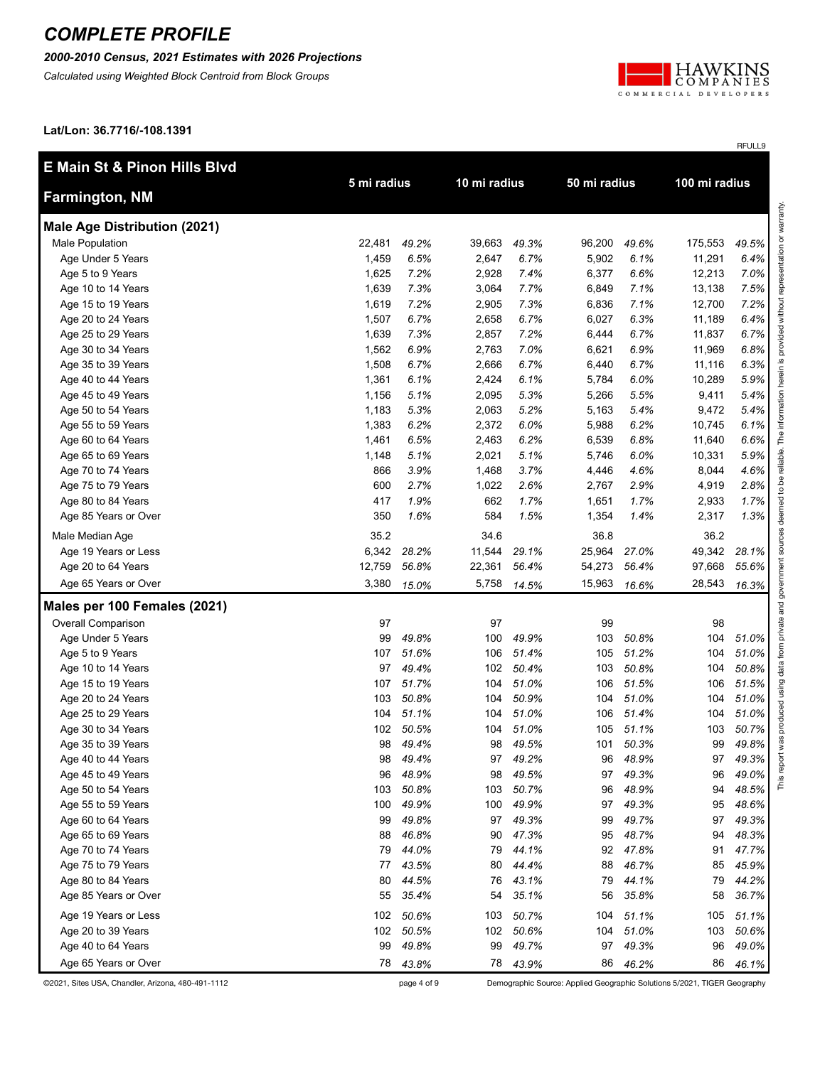*2000-2010 Census, 2021 Estimates with 2026 Projections*

*Calculated using Weighted Block Centroid from Block Groups*



RFULL9

**Lat/Lon: 36.7716/-108.1391**

| <b>E Main St &amp; Pinon Hills Blvd</b> |             |          |              |          |              |       |               |       |                      |
|-----------------------------------------|-------------|----------|--------------|----------|--------------|-------|---------------|-------|----------------------|
| <b>Farmington, NM</b>                   | 5 mi radius |          | 10 mi radius |          | 50 mi radius |       | 100 mi radius |       |                      |
| <b>Male Age Distribution (2021)</b>     |             |          |              |          |              |       |               |       | itation or warranty. |
| Male Population                         | 22,481      | 49.2%    | 39,663       | 49.3%    | 96,200       | 49.6% | 175,553       | 49.5% |                      |
| Age Under 5 Years                       | 1,459       | 6.5%     | 2,647        | 6.7%     | 5,902        | 6.1%  | 11,291        | 6.4%  |                      |
| Age 5 to 9 Years                        | 1,625       | 7.2%     | 2,928        | 7.4%     | 6,377        | 6.6%  | 12,213        | 7.0%  |                      |
| Age 10 to 14 Years                      | 1,639       | 7.3%     | 3,064        | 7.7%     | 6,849        | 7.1%  | 13,138        | 7.5%  |                      |
| Age 15 to 19 Years                      | 1,619       | 7.2%     | 2,905        | 7.3%     | 6,836        | 7.1%  | 12,700        | 7.2%  |                      |
| Age 20 to 24 Years                      | 1,507       | 6.7%     | 2,658        | 6.7%     | 6,027        | 6.3%  | 11,189        | 6.4%  |                      |
| Age 25 to 29 Years                      | 1,639       | 7.3%     | 2,857        | 7.2%     | 6,444        | 6.7%  | 11,837        | 6.7%  |                      |
| Age 30 to 34 Years                      | 1,562       | 6.9%     | 2,763        | 7.0%     | 6,621        | 6.9%  | 11,969        | 6.8%  |                      |
| Age 35 to 39 Years                      | 1,508       | 6.7%     | 2,666        | 6.7%     | 6,440        | 6.7%  | 11,116        | 6.3%  |                      |
| Age 40 to 44 Years                      | 1,361       | 6.1%     | 2,424        | 6.1%     | 5,784        | 6.0%  | 10,289        | 5.9%  |                      |
| Age 45 to 49 Years                      | 1,156       | 5.1%     | 2,095        | 5.3%     | 5,266        | 5.5%  | 9,411         | 5.4%  |                      |
| Age 50 to 54 Years                      | 1,183       | 5.3%     | 2,063        | 5.2%     | 5,163        | 5.4%  | 9,472         | 5.4%  |                      |
| Age 55 to 59 Years                      | 1,383       | 6.2%     | 2,372        | 6.0%     | 5,988        | 6.2%  | 10,745        | 6.1%  |                      |
| Age 60 to 64 Years                      | 1,461       | 6.5%     | 2,463        | 6.2%     | 6,539        | 6.8%  | 11,640        | 6.6%  |                      |
| Age 65 to 69 Years                      | 1,148       | 5.1%     | 2,021        | 5.1%     | 5,746        | 6.0%  | 10,331        | 5.9%  |                      |
| Age 70 to 74 Years                      | 866         | 3.9%     | 1,468        | 3.7%     | 4,446        | 4.6%  | 8,044         | 4.6%  |                      |
| Age 75 to 79 Years                      | 600         | 2.7%     | 1,022        | 2.6%     | 2,767        | 2.9%  | 4,919         | 2.8%  |                      |
| Age 80 to 84 Years                      | 417         | 1.9%     | 662          | 1.7%     | 1,651        | 1.7%  | 2,933         | 1.7%  |                      |
| Age 85 Years or Over                    | 350         | 1.6%     | 584          | 1.5%     | 1,354        | 1.4%  | 2,317         | 1.3%  |                      |
| Male Median Age                         | 35.2        |          | 34.6         |          | 36.8         |       | 36.2          |       |                      |
| Age 19 Years or Less                    | 6,342       | 28.2%    | 11,544       | 29.1%    | 25,964       | 27.0% | 49,342        | 28.1% |                      |
| Age 20 to 64 Years                      | 12,759      | 56.8%    | 22,361       | 56.4%    | 54,273       | 56.4% | 97,668        | 55.6% |                      |
| Age 65 Years or Over                    | 3,380       | 15.0%    | 5,758        | 14.5%    | 15,963       | 16.6% | 28,543        | 16.3% | govern               |
| Males per 100 Females (2021)            |             |          |              |          |              |       |               |       |                      |
| Overall Comparison                      | 97          |          | 97           |          | 99           |       | 98            |       | private and          |
| Age Under 5 Years                       | 99          | 49.8%    | 100          | 49.9%    | 103          | 50.8% | 104           | 51.0% |                      |
| Age 5 to 9 Years                        | 107         | 51.6%    | 106          | 51.4%    | 105          | 51.2% | 104           | 51.0% |                      |
| Age 10 to 14 Years                      | 97          | 49.4%    | 102          | 50.4%    | 103          | 50.8% | 104           | 50.8% |                      |
| Age 15 to 19 Years                      | 107         | 51.7%    | 104          | 51.0%    | 106          | 51.5% | 106           | 51.5% |                      |
| Age 20 to 24 Years                      | 103         | 50.8%    | 104          | 50.9%    | 104          | 51.0% | 104           | 51.0% |                      |
| Age 25 to 29 Years                      | 104         | 51.1%    | 104          | 51.0%    | 106          | 51.4% | 104           | 51.0% | produced             |
| Age 30 to 34 Years                      | 102         | 50.5%    | 104          | 51.0%    | 105          | 51.1% | 103           | 50.7% |                      |
| Age 35 to 39 Years                      | 98          | 49.4%    | 98           | 49.5%    | 101          | 50.3% | 99            | 49.8% |                      |
| Age 40 to 44 Years                      | 98          | 49.4%    | 97           | 49.2%    | 96           | 48.9% | 97            | 49.3% | $\overline{5}$       |
| Age 45 to 49 Years                      | 96          | 48.9%    | 98           | 49.5%    | 97           | 49.3% | 96            | 49.0% |                      |
| Age 50 to 54 Years                      | 103         | 50.8%    | 103          | 50.7%    | 96           | 48.9% | 94            | 48.5% | This                 |
| Age 55 to 59 Years                      | 100         | 49.9%    | 100          | 49.9%    | 97           | 49.3% | 95            | 48.6% |                      |
| Age 60 to 64 Years                      | 99          | 49.8%    | 97           | 49.3%    | 99           | 49.7% | 97            | 49.3% |                      |
| Age 65 to 69 Years                      | 88          | 46.8%    | 90           | 47.3%    | 95           | 48.7% | 94            | 48.3% |                      |
| Age 70 to 74 Years                      | 79          | 44.0%    | 79           | 44.1%    | 92           | 47.8% | 91            | 47.7% |                      |
| Age 75 to 79 Years                      | 77          | 43.5%    | 80           | 44.4%    | 88           | 46.7% | 85            | 45.9% |                      |
| Age 80 to 84 Years                      | 80          | 44.5%    | 76           | 43.1%    | 79           | 44.1% | 79            | 44.2% |                      |
| Age 85 Years or Over                    | 55          | 35.4%    | 54           | 35.1%    | 56           | 35.8% | 58            | 36.7% |                      |
| Age 19 Years or Less                    | 102         | 50.6%    | 103          | 50.7%    | 104          | 51.1% | 105           | 51.1% |                      |
| Age 20 to 39 Years                      | 102         | 50.5%    | 102          | 50.6%    | 104          | 51.0% | 103           | 50.6% |                      |
| Age 40 to 64 Years                      | 99          | 49.8%    | 99           | 49.7%    | 97           | 49.3% | 96            | 49.0% |                      |
| Age 65 Years or Over                    |             | 78 43.8% |              | 78 43.9% | 86           | 46.2% | 86            | 46.1% |                      |

©2021, Sites USA, Chandler, Arizona, 480-491-1112 page 4 of 9 Demographic Source: Applied Geographic Solutions 5/2021, TIGER Geography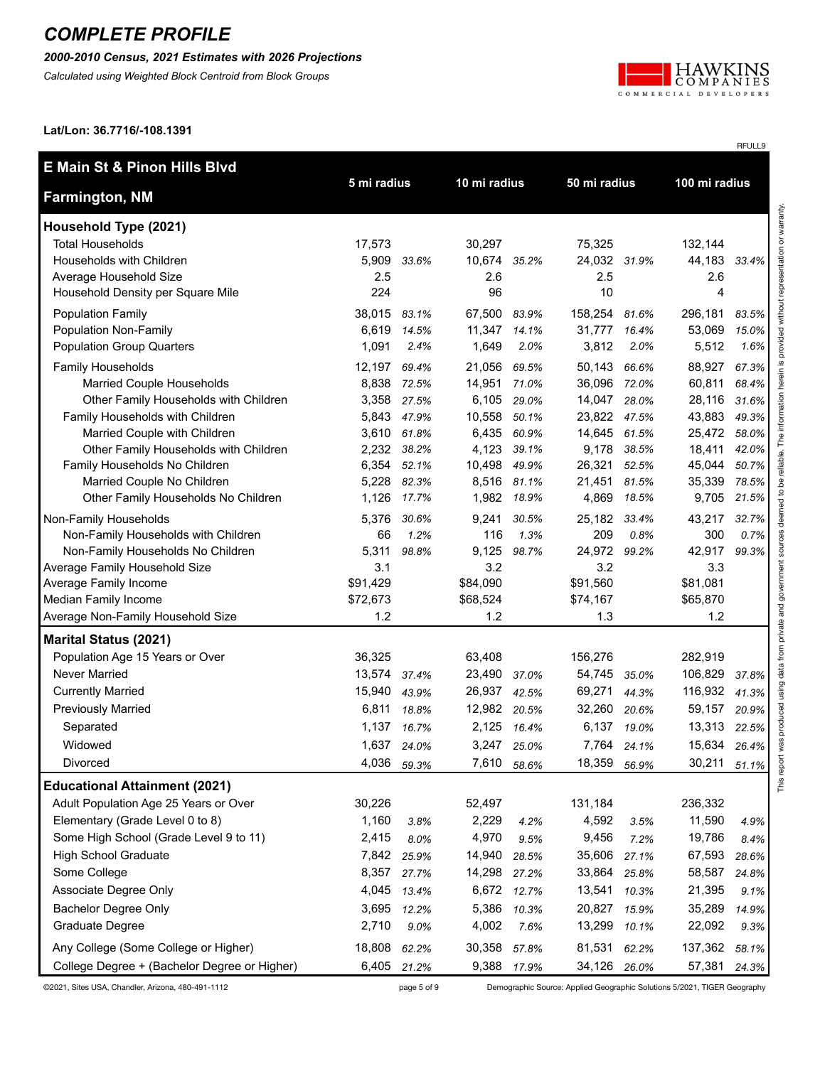*2000-2010 Census, 2021 Estimates with 2026 Projections*

*Calculated using Weighted Block Centroid from Block Groups*



RFULL9

**Lat/Lon: 36.7716/-108.1391**

| <b>E Main St &amp; Pinon Hills Blvd</b>       |                 |             |                 |             |                      |       |                 |       |
|-----------------------------------------------|-----------------|-------------|-----------------|-------------|----------------------|-------|-----------------|-------|
| <b>Farmington, NM</b>                         | 5 mi radius     |             | 10 mi radius    |             | 50 mi radius         |       | 100 mi radius   |       |
| Household Type (2021)                         |                 |             |                 |             |                      |       |                 |       |
| <b>Total Households</b>                       | 17,573          |             | 30,297          |             | 75,325               |       | 132,144         |       |
| Households with Children                      | 5,909           | 33.6%       | 10,674 35.2%    |             | 24,032 31.9%         |       | 44,183          | 33.4% |
| Average Household Size                        | 2.5             |             | 2.6             |             | 2.5                  |       | 2.6             |       |
| Household Density per Square Mile             | 224             |             | 96              |             | 10                   |       | 4               |       |
| <b>Population Family</b>                      | 38,015          | 83.1%       | 67,500          | 83.9%       | 158,254              | 81.6% | 296,181         | 83.5% |
| Population Non-Family                         | 6,619           | 14.5%       | 11,347          | 14.1%       | 31,777               | 16.4% | 53,069          | 15.0% |
| <b>Population Group Quarters</b>              | 1,091           | 2.4%        | 1,649           | 2.0%        | 3,812                | 2.0%  | 5,512           | 1.6%  |
| Family Households                             | 12,197          | 69.4%       | 21,056          | 69.5%       | 50,143               | 66.6% | 88,927          | 67.3% |
| Married Couple Households                     | 8,838           | 72.5%       | 14,951          | 71.0%       | 36,096               | 72.0% | 60,811          | 68.4% |
| Other Family Households with Children         | 3,358           | 27.5%       | 6,105           | 29.0%       | 14,047               | 28.0% | 28,116          | 31.6% |
| Family Households with Children               | 5,843           | 47.9%       | 10,558          | 50.1%       | 23,822 47.5%         |       | 43,883          | 49.3% |
| Married Couple with Children                  | 3,610           | 61.8%       | 6,435           | 60.9%       | 14,645 61.5%         |       | 25,472          | 58.0% |
| Other Family Households with Children         | 2,232           | 38.2%       | 4,123           | 39.1%       | 9,178                | 38.5% | 18,411          | 42.0% |
| Family Households No Children                 | 6,354           | 52.1%       | 10,498          | 49.9%       | 26,321 52.5%         |       | 45,044          | 50.7% |
| Married Couple No Children                    | 5,228           | 82.3%       |                 | 8,516 81.1% | 21,451 81.5%         |       | 35,339          | 78.5% |
| Other Family Households No Children           | 1,126           | 17.7%       | 1,982           | 18.9%       | 4,869                | 18.5% | 9,705           | 21.5% |
| Non-Family Households                         | 5,376           | 30.6%       | 9,241           | 30.5%       | 25,182               | 33.4% | 43,217          | 32.7% |
| Non-Family Households with Children           | 66              | 1.2%        | 116             | 1.3%        | 209                  | 0.8%  | 300             | 0.7%  |
| Non-Family Households No Children             | 5,311           | 98.8%       | 9,125           | 98.7%       | 24,972               | 99.2% | 42,917          | 99.3% |
| Average Family Household Size                 | 3.1<br>\$91,429 |             | 3.2<br>\$84,090 |             | 3.2                  |       | 3.3<br>\$81,081 |       |
| Average Family Income<br>Median Family Income | \$72,673        |             | \$68,524        |             | \$91,560<br>\$74,167 |       | \$65,870        |       |
| Average Non-Family Household Size             | 1.2             |             | 1.2             |             | 1.3                  |       | 1.2             |       |
| <b>Marital Status (2021)</b>                  |                 |             |                 |             |                      |       |                 |       |
| Population Age 15 Years or Over               | 36,325          |             | 63,408          |             | 156,276              |       | 282,919         |       |
| <b>Never Married</b>                          | 13,574          | 37.4%       | 23,490          | 37.0%       | 54,745               | 35.0% | 106,829         | 37.8% |
| <b>Currently Married</b>                      | 15,940          | 43.9%       | 26,937          | 42.5%       | 69,271               | 44.3% | 116,932         | 41.3% |
| <b>Previously Married</b>                     | 6,811           | 18.8%       | 12,982 20.5%    |             | 32,260               | 20.6% | 59,157          | 20.9% |
| Separated                                     | 1,137           | 16.7%       | 2,125           | 16.4%       | 6,137                | 19.0% | 13,313          | 22.5% |
| Widowed                                       |                 | 1,637 24.0% |                 | 3,247 25.0% | 7,764                | 24.1% | 15,634          | 26.4% |
| Divorced                                      |                 | 4,036 59.3% |                 | 7,610 58.6% | 18,359 56.9%         |       | 30,211          | 51.1% |
| <b>Educational Attainment (2021)</b>          |                 |             |                 |             |                      |       |                 |       |
| Adult Population Age 25 Years or Over         | 30,226          |             | 52,497          |             | 131,184              |       | 236,332         |       |
| Elementary (Grade Level 0 to 8)               | 1,160           | 3.8%        | 2,229           | 4.2%        | 4,592                | 3.5%  | 11,590          | 4.9%  |
| Some High School (Grade Level 9 to 11)        | 2,415           | 8.0%        | 4,970           | 9.5%        | 9,456                | 7.2%  | 19,786          | 8.4%  |
| <b>High School Graduate</b>                   | 7,842           | 25.9%       | 14,940          | 28.5%       | 35,606               | 27.1% | 67,593          | 28.6% |
| Some College                                  | 8,357           | 27.7%       | 14,298          | 27.2%       | 33,864               | 25.8% | 58,587          | 24.8% |
| Associate Degree Only                         | 4,045           | 13.4%       | 6,672           | 12.7%       | 13,541               | 10.3% | 21,395          | 9.1%  |
| <b>Bachelor Degree Only</b>                   | 3,695           | 12.2%       | 5,386           | 10.3%       | 20,827               | 15.9% | 35,289          | 14.9% |
| Graduate Degree                               | 2,710           | 9.0%        | 4,002           | 7.6%        | 13,299               | 10.1% | 22,092          | 9.3%  |
|                                               | 18,808          |             |                 |             |                      |       |                 |       |
| Any College (Some College or Higher)          |                 | 62.2%       | 30,358          | 57.8%       | 81,531               | 62.2% | 137,362         | 58.1% |
| College Degree + (Bachelor Degree or Higher)  | 6,405           | 21.2%       | 9,388           | 17.9%       | 34,126 26.0%         |       | 57,381          | 24.3% |

©2021, Sites USA, Chandler, Arizona, 480-491-1112 page 5 of 9 Demographic Source: Applied Geographic Solutions 5/2021, TIGER Geography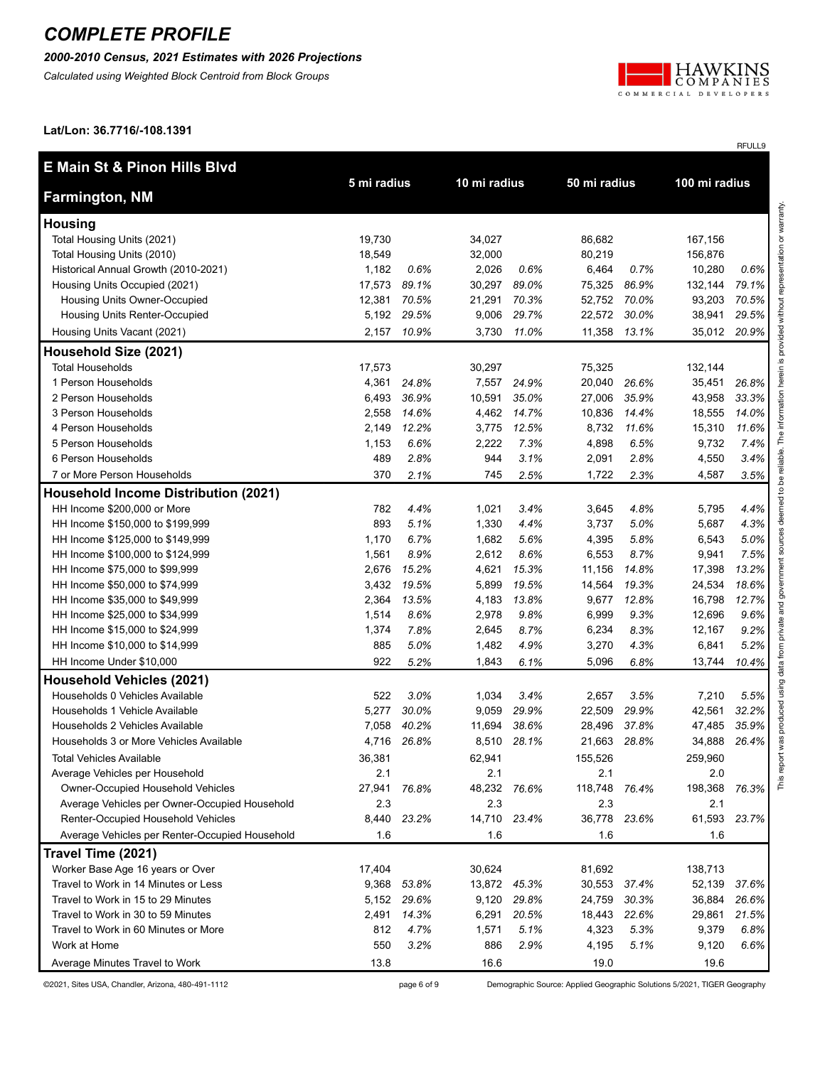*2000-2010 Census, 2021 Estimates with 2026 Projections*

*Calculated using Weighted Block Centroid from Block Groups*



RFULL9

**Lat/Lon: 36.7716/-108.1391**

| 5 mi radius<br>10 mi radius<br>100 mi radius<br>50 mi radius<br><b>Farmington, NM</b><br><b>Housing</b><br>Total Housing Units (2021)<br>19,730<br>34,027<br>86,682<br>167,156<br>Total Housing Units (2010)<br>18,549<br>32,000<br>80,219<br>156,876<br>Historical Annual Growth (2010-2021)<br>1,182<br>0.6%<br>2,026<br>0.6%<br>6,464<br>0.7%<br>10,280<br>0.6%<br>Housing Units Occupied (2021)<br>17,573<br>89.1%<br>30,297<br>89.0%<br>75,325<br>86.9%<br>132,144<br>79.1%<br>Housing Units Owner-Occupied<br>12,381<br>70.5%<br>21,291<br>70.3%<br>52,752<br>70.0%<br>93,203<br>70.5%<br>Housing Units Renter-Occupied<br>5,192 29.5%<br>9,006<br>29.7%<br>22,572<br>30.0%<br>29.5%<br>38,941<br>Housing Units Vacant (2021)<br>2,157 10.9%<br>11.0%<br>11,358<br>35,012<br>20.9%<br>3,730<br>13.1%<br>Household Size (2021)<br>17,573<br>30,297<br>75,325<br>132,144<br><b>Total Households</b><br>4,361<br>24.8%<br>7,557<br>24.9%<br>20,040<br>26.6%<br>35,451<br>1 Person Households<br>26.8%<br>2 Person Households<br>6,493<br>36.9%<br>10,591<br>35.0%<br>27,006<br>35.9%<br>43,958<br>33.3%<br>3 Person Households<br>2,558<br>14.6%<br>14.7%<br>10,836<br>14.4%<br>18,555<br>14.0%<br>4,462<br>4 Person Households<br>2,149<br>12.2%<br>12.5%<br>8,732<br>11.6%<br>15,310<br>3,775<br>11.6%<br>5 Person Households<br>1,153<br>6.6%<br>2,222<br>7.3%<br>4,898<br>6.5%<br>9,732<br>7.4%<br>6 Person Households<br>489<br>2.8%<br>944<br>3.1%<br>2,091<br>2.8%<br>4,550<br>3.4%<br>7 or More Person Households<br>370<br>745<br>1,722<br>4,587<br>2.1%<br>2.5%<br>2.3%<br>3.5%<br><b>Household Income Distribution (2021)</b><br>HH Income \$200,000 or More<br>782<br>4.4%<br>3.4%<br>4.8%<br>4.4%<br>1,021<br>3,645<br>5,795<br>893<br>5.1%<br>4.4%<br>3,737<br>5.0%<br>5,687<br>4.3%<br>HH Income \$150,000 to \$199,999<br>1,330<br>HH Income \$125,000 to \$149,999<br>1,170<br>6.7%<br>1,682<br>5.6%<br>4,395<br>5.8%<br>6,543<br>5.0%<br>8.9%<br>6,553<br>8.7%<br>7.5%<br>HH Income \$100,000 to \$124,999<br>1,561<br>2,612<br>8.6%<br>9,941<br>HH Income \$75,000 to \$99,999<br>2,676<br>15.2%<br>4,621<br>15.3%<br>11,156<br>14.8%<br>17,398<br>13.2%<br>3,432<br>19.5%<br>19.5%<br>14,564<br>19.3%<br>18.6%<br>HH Income \$50,000 to \$74,999<br>5,899<br>24,534<br>HH Income \$35,000 to \$49,999<br>2,364<br>13.5%<br>13.8%<br>9,677<br>12.8%<br>16,798<br>12.7%<br>4,183<br>9.3%<br>1,514<br>8.6%<br>9.8%<br>6,999<br>12,696<br>9.6%<br>HH Income \$25,000 to \$34,999<br>2,978<br>HH Income \$15,000 to \$24,999<br>1,374<br>7.8%<br>8.7%<br>6,234<br>8.3%<br>9.2%<br>2,645<br>12,167<br>885<br>5.0%<br>4.9%<br>3,270<br>4.3%<br>5.2%<br>HH Income \$10,000 to \$14,999<br>1,482<br>6,841<br>922<br>HH Income Under \$10,000<br>5,096<br>1,843<br>13,744<br>5.2%<br>6.1%<br>6.8%<br>10.4%<br><b>Household Vehicles (2021)</b> |
|-------------------------------------------------------------------------------------------------------------------------------------------------------------------------------------------------------------------------------------------------------------------------------------------------------------------------------------------------------------------------------------------------------------------------------------------------------------------------------------------------------------------------------------------------------------------------------------------------------------------------------------------------------------------------------------------------------------------------------------------------------------------------------------------------------------------------------------------------------------------------------------------------------------------------------------------------------------------------------------------------------------------------------------------------------------------------------------------------------------------------------------------------------------------------------------------------------------------------------------------------------------------------------------------------------------------------------------------------------------------------------------------------------------------------------------------------------------------------------------------------------------------------------------------------------------------------------------------------------------------------------------------------------------------------------------------------------------------------------------------------------------------------------------------------------------------------------------------------------------------------------------------------------------------------------------------------------------------------------------------------------------------------------------------------------------------------------------------------------------------------------------------------------------------------------------------------------------------------------------------------------------------------------------------------------------------------------------------------------------------------------------------------------------------------------------------------------------------------------------------------------------------------------------------------------------------------------------------------------------------------------------------------------------------------------------------------------------------------------------------------------------------------------------------------------------------------------------------------------------|
|                                                                                                                                                                                                                                                                                                                                                                                                                                                                                                                                                                                                                                                                                                                                                                                                                                                                                                                                                                                                                                                                                                                                                                                                                                                                                                                                                                                                                                                                                                                                                                                                                                                                                                                                                                                                                                                                                                                                                                                                                                                                                                                                                                                                                                                                                                                                                                                                                                                                                                                                                                                                                                                                                                                                                                                                                                                             |
|                                                                                                                                                                                                                                                                                                                                                                                                                                                                                                                                                                                                                                                                                                                                                                                                                                                                                                                                                                                                                                                                                                                                                                                                                                                                                                                                                                                                                                                                                                                                                                                                                                                                                                                                                                                                                                                                                                                                                                                                                                                                                                                                                                                                                                                                                                                                                                                                                                                                                                                                                                                                                                                                                                                                                                                                                                                             |
|                                                                                                                                                                                                                                                                                                                                                                                                                                                                                                                                                                                                                                                                                                                                                                                                                                                                                                                                                                                                                                                                                                                                                                                                                                                                                                                                                                                                                                                                                                                                                                                                                                                                                                                                                                                                                                                                                                                                                                                                                                                                                                                                                                                                                                                                                                                                                                                                                                                                                                                                                                                                                                                                                                                                                                                                                                                             |
|                                                                                                                                                                                                                                                                                                                                                                                                                                                                                                                                                                                                                                                                                                                                                                                                                                                                                                                                                                                                                                                                                                                                                                                                                                                                                                                                                                                                                                                                                                                                                                                                                                                                                                                                                                                                                                                                                                                                                                                                                                                                                                                                                                                                                                                                                                                                                                                                                                                                                                                                                                                                                                                                                                                                                                                                                                                             |
|                                                                                                                                                                                                                                                                                                                                                                                                                                                                                                                                                                                                                                                                                                                                                                                                                                                                                                                                                                                                                                                                                                                                                                                                                                                                                                                                                                                                                                                                                                                                                                                                                                                                                                                                                                                                                                                                                                                                                                                                                                                                                                                                                                                                                                                                                                                                                                                                                                                                                                                                                                                                                                                                                                                                                                                                                                                             |
|                                                                                                                                                                                                                                                                                                                                                                                                                                                                                                                                                                                                                                                                                                                                                                                                                                                                                                                                                                                                                                                                                                                                                                                                                                                                                                                                                                                                                                                                                                                                                                                                                                                                                                                                                                                                                                                                                                                                                                                                                                                                                                                                                                                                                                                                                                                                                                                                                                                                                                                                                                                                                                                                                                                                                                                                                                                             |
|                                                                                                                                                                                                                                                                                                                                                                                                                                                                                                                                                                                                                                                                                                                                                                                                                                                                                                                                                                                                                                                                                                                                                                                                                                                                                                                                                                                                                                                                                                                                                                                                                                                                                                                                                                                                                                                                                                                                                                                                                                                                                                                                                                                                                                                                                                                                                                                                                                                                                                                                                                                                                                                                                                                                                                                                                                                             |
|                                                                                                                                                                                                                                                                                                                                                                                                                                                                                                                                                                                                                                                                                                                                                                                                                                                                                                                                                                                                                                                                                                                                                                                                                                                                                                                                                                                                                                                                                                                                                                                                                                                                                                                                                                                                                                                                                                                                                                                                                                                                                                                                                                                                                                                                                                                                                                                                                                                                                                                                                                                                                                                                                                                                                                                                                                                             |
|                                                                                                                                                                                                                                                                                                                                                                                                                                                                                                                                                                                                                                                                                                                                                                                                                                                                                                                                                                                                                                                                                                                                                                                                                                                                                                                                                                                                                                                                                                                                                                                                                                                                                                                                                                                                                                                                                                                                                                                                                                                                                                                                                                                                                                                                                                                                                                                                                                                                                                                                                                                                                                                                                                                                                                                                                                                             |
|                                                                                                                                                                                                                                                                                                                                                                                                                                                                                                                                                                                                                                                                                                                                                                                                                                                                                                                                                                                                                                                                                                                                                                                                                                                                                                                                                                                                                                                                                                                                                                                                                                                                                                                                                                                                                                                                                                                                                                                                                                                                                                                                                                                                                                                                                                                                                                                                                                                                                                                                                                                                                                                                                                                                                                                                                                                             |
|                                                                                                                                                                                                                                                                                                                                                                                                                                                                                                                                                                                                                                                                                                                                                                                                                                                                                                                                                                                                                                                                                                                                                                                                                                                                                                                                                                                                                                                                                                                                                                                                                                                                                                                                                                                                                                                                                                                                                                                                                                                                                                                                                                                                                                                                                                                                                                                                                                                                                                                                                                                                                                                                                                                                                                                                                                                             |
|                                                                                                                                                                                                                                                                                                                                                                                                                                                                                                                                                                                                                                                                                                                                                                                                                                                                                                                                                                                                                                                                                                                                                                                                                                                                                                                                                                                                                                                                                                                                                                                                                                                                                                                                                                                                                                                                                                                                                                                                                                                                                                                                                                                                                                                                                                                                                                                                                                                                                                                                                                                                                                                                                                                                                                                                                                                             |
|                                                                                                                                                                                                                                                                                                                                                                                                                                                                                                                                                                                                                                                                                                                                                                                                                                                                                                                                                                                                                                                                                                                                                                                                                                                                                                                                                                                                                                                                                                                                                                                                                                                                                                                                                                                                                                                                                                                                                                                                                                                                                                                                                                                                                                                                                                                                                                                                                                                                                                                                                                                                                                                                                                                                                                                                                                                             |
|                                                                                                                                                                                                                                                                                                                                                                                                                                                                                                                                                                                                                                                                                                                                                                                                                                                                                                                                                                                                                                                                                                                                                                                                                                                                                                                                                                                                                                                                                                                                                                                                                                                                                                                                                                                                                                                                                                                                                                                                                                                                                                                                                                                                                                                                                                                                                                                                                                                                                                                                                                                                                                                                                                                                                                                                                                                             |
|                                                                                                                                                                                                                                                                                                                                                                                                                                                                                                                                                                                                                                                                                                                                                                                                                                                                                                                                                                                                                                                                                                                                                                                                                                                                                                                                                                                                                                                                                                                                                                                                                                                                                                                                                                                                                                                                                                                                                                                                                                                                                                                                                                                                                                                                                                                                                                                                                                                                                                                                                                                                                                                                                                                                                                                                                                                             |
|                                                                                                                                                                                                                                                                                                                                                                                                                                                                                                                                                                                                                                                                                                                                                                                                                                                                                                                                                                                                                                                                                                                                                                                                                                                                                                                                                                                                                                                                                                                                                                                                                                                                                                                                                                                                                                                                                                                                                                                                                                                                                                                                                                                                                                                                                                                                                                                                                                                                                                                                                                                                                                                                                                                                                                                                                                                             |
|                                                                                                                                                                                                                                                                                                                                                                                                                                                                                                                                                                                                                                                                                                                                                                                                                                                                                                                                                                                                                                                                                                                                                                                                                                                                                                                                                                                                                                                                                                                                                                                                                                                                                                                                                                                                                                                                                                                                                                                                                                                                                                                                                                                                                                                                                                                                                                                                                                                                                                                                                                                                                                                                                                                                                                                                                                                             |
|                                                                                                                                                                                                                                                                                                                                                                                                                                                                                                                                                                                                                                                                                                                                                                                                                                                                                                                                                                                                                                                                                                                                                                                                                                                                                                                                                                                                                                                                                                                                                                                                                                                                                                                                                                                                                                                                                                                                                                                                                                                                                                                                                                                                                                                                                                                                                                                                                                                                                                                                                                                                                                                                                                                                                                                                                                                             |
|                                                                                                                                                                                                                                                                                                                                                                                                                                                                                                                                                                                                                                                                                                                                                                                                                                                                                                                                                                                                                                                                                                                                                                                                                                                                                                                                                                                                                                                                                                                                                                                                                                                                                                                                                                                                                                                                                                                                                                                                                                                                                                                                                                                                                                                                                                                                                                                                                                                                                                                                                                                                                                                                                                                                                                                                                                                             |
|                                                                                                                                                                                                                                                                                                                                                                                                                                                                                                                                                                                                                                                                                                                                                                                                                                                                                                                                                                                                                                                                                                                                                                                                                                                                                                                                                                                                                                                                                                                                                                                                                                                                                                                                                                                                                                                                                                                                                                                                                                                                                                                                                                                                                                                                                                                                                                                                                                                                                                                                                                                                                                                                                                                                                                                                                                                             |
|                                                                                                                                                                                                                                                                                                                                                                                                                                                                                                                                                                                                                                                                                                                                                                                                                                                                                                                                                                                                                                                                                                                                                                                                                                                                                                                                                                                                                                                                                                                                                                                                                                                                                                                                                                                                                                                                                                                                                                                                                                                                                                                                                                                                                                                                                                                                                                                                                                                                                                                                                                                                                                                                                                                                                                                                                                                             |
|                                                                                                                                                                                                                                                                                                                                                                                                                                                                                                                                                                                                                                                                                                                                                                                                                                                                                                                                                                                                                                                                                                                                                                                                                                                                                                                                                                                                                                                                                                                                                                                                                                                                                                                                                                                                                                                                                                                                                                                                                                                                                                                                                                                                                                                                                                                                                                                                                                                                                                                                                                                                                                                                                                                                                                                                                                                             |
|                                                                                                                                                                                                                                                                                                                                                                                                                                                                                                                                                                                                                                                                                                                                                                                                                                                                                                                                                                                                                                                                                                                                                                                                                                                                                                                                                                                                                                                                                                                                                                                                                                                                                                                                                                                                                                                                                                                                                                                                                                                                                                                                                                                                                                                                                                                                                                                                                                                                                                                                                                                                                                                                                                                                                                                                                                                             |
|                                                                                                                                                                                                                                                                                                                                                                                                                                                                                                                                                                                                                                                                                                                                                                                                                                                                                                                                                                                                                                                                                                                                                                                                                                                                                                                                                                                                                                                                                                                                                                                                                                                                                                                                                                                                                                                                                                                                                                                                                                                                                                                                                                                                                                                                                                                                                                                                                                                                                                                                                                                                                                                                                                                                                                                                                                                             |
|                                                                                                                                                                                                                                                                                                                                                                                                                                                                                                                                                                                                                                                                                                                                                                                                                                                                                                                                                                                                                                                                                                                                                                                                                                                                                                                                                                                                                                                                                                                                                                                                                                                                                                                                                                                                                                                                                                                                                                                                                                                                                                                                                                                                                                                                                                                                                                                                                                                                                                                                                                                                                                                                                                                                                                                                                                                             |
|                                                                                                                                                                                                                                                                                                                                                                                                                                                                                                                                                                                                                                                                                                                                                                                                                                                                                                                                                                                                                                                                                                                                                                                                                                                                                                                                                                                                                                                                                                                                                                                                                                                                                                                                                                                                                                                                                                                                                                                                                                                                                                                                                                                                                                                                                                                                                                                                                                                                                                                                                                                                                                                                                                                                                                                                                                                             |
|                                                                                                                                                                                                                                                                                                                                                                                                                                                                                                                                                                                                                                                                                                                                                                                                                                                                                                                                                                                                                                                                                                                                                                                                                                                                                                                                                                                                                                                                                                                                                                                                                                                                                                                                                                                                                                                                                                                                                                                                                                                                                                                                                                                                                                                                                                                                                                                                                                                                                                                                                                                                                                                                                                                                                                                                                                                             |
|                                                                                                                                                                                                                                                                                                                                                                                                                                                                                                                                                                                                                                                                                                                                                                                                                                                                                                                                                                                                                                                                                                                                                                                                                                                                                                                                                                                                                                                                                                                                                                                                                                                                                                                                                                                                                                                                                                                                                                                                                                                                                                                                                                                                                                                                                                                                                                                                                                                                                                                                                                                                                                                                                                                                                                                                                                                             |
|                                                                                                                                                                                                                                                                                                                                                                                                                                                                                                                                                                                                                                                                                                                                                                                                                                                                                                                                                                                                                                                                                                                                                                                                                                                                                                                                                                                                                                                                                                                                                                                                                                                                                                                                                                                                                                                                                                                                                                                                                                                                                                                                                                                                                                                                                                                                                                                                                                                                                                                                                                                                                                                                                                                                                                                                                                                             |
|                                                                                                                                                                                                                                                                                                                                                                                                                                                                                                                                                                                                                                                                                                                                                                                                                                                                                                                                                                                                                                                                                                                                                                                                                                                                                                                                                                                                                                                                                                                                                                                                                                                                                                                                                                                                                                                                                                                                                                                                                                                                                                                                                                                                                                                                                                                                                                                                                                                                                                                                                                                                                                                                                                                                                                                                                                                             |
|                                                                                                                                                                                                                                                                                                                                                                                                                                                                                                                                                                                                                                                                                                                                                                                                                                                                                                                                                                                                                                                                                                                                                                                                                                                                                                                                                                                                                                                                                                                                                                                                                                                                                                                                                                                                                                                                                                                                                                                                                                                                                                                                                                                                                                                                                                                                                                                                                                                                                                                                                                                                                                                                                                                                                                                                                                                             |
| Households 0 Vehicles Available<br>522<br>3.0%<br>1,034<br>3.4%<br>2,657<br>3.5%<br>5.5%<br>7,210                                                                                                                                                                                                                                                                                                                                                                                                                                                                                                                                                                                                                                                                                                                                                                                                                                                                                                                                                                                                                                                                                                                                                                                                                                                                                                                                                                                                                                                                                                                                                                                                                                                                                                                                                                                                                                                                                                                                                                                                                                                                                                                                                                                                                                                                                                                                                                                                                                                                                                                                                                                                                                                                                                                                                           |
| Households 1 Vehicle Available<br>5,277<br>30.0%<br>9,059<br>29.9%<br>22,509<br>29.9%<br>42,561<br>32.2%                                                                                                                                                                                                                                                                                                                                                                                                                                                                                                                                                                                                                                                                                                                                                                                                                                                                                                                                                                                                                                                                                                                                                                                                                                                                                                                                                                                                                                                                                                                                                                                                                                                                                                                                                                                                                                                                                                                                                                                                                                                                                                                                                                                                                                                                                                                                                                                                                                                                                                                                                                                                                                                                                                                                                    |
| 7,058<br>40.2%<br>38.6%<br>37.8%<br>Households 2 Vehicles Available<br>11,694<br>28,496<br>47,485<br>35.9%                                                                                                                                                                                                                                                                                                                                                                                                                                                                                                                                                                                                                                                                                                                                                                                                                                                                                                                                                                                                                                                                                                                                                                                                                                                                                                                                                                                                                                                                                                                                                                                                                                                                                                                                                                                                                                                                                                                                                                                                                                                                                                                                                                                                                                                                                                                                                                                                                                                                                                                                                                                                                                                                                                                                                  |
| Households 3 or More Vehicles Available<br>4,716<br>26.8%<br>8,510<br>28.1%<br>21,663<br>34,888<br>26.4%<br>28.8%                                                                                                                                                                                                                                                                                                                                                                                                                                                                                                                                                                                                                                                                                                                                                                                                                                                                                                                                                                                                                                                                                                                                                                                                                                                                                                                                                                                                                                                                                                                                                                                                                                                                                                                                                                                                                                                                                                                                                                                                                                                                                                                                                                                                                                                                                                                                                                                                                                                                                                                                                                                                                                                                                                                                           |
| 36,381<br>259,960<br>62,941<br>155,526<br><b>Total Vehicles Available</b>                                                                                                                                                                                                                                                                                                                                                                                                                                                                                                                                                                                                                                                                                                                                                                                                                                                                                                                                                                                                                                                                                                                                                                                                                                                                                                                                                                                                                                                                                                                                                                                                                                                                                                                                                                                                                                                                                                                                                                                                                                                                                                                                                                                                                                                                                                                                                                                                                                                                                                                                                                                                                                                                                                                                                                                   |
| 2.1<br>2.1<br>2.1<br>2.0<br>Average Vehicles per Household                                                                                                                                                                                                                                                                                                                                                                                                                                                                                                                                                                                                                                                                                                                                                                                                                                                                                                                                                                                                                                                                                                                                                                                                                                                                                                                                                                                                                                                                                                                                                                                                                                                                                                                                                                                                                                                                                                                                                                                                                                                                                                                                                                                                                                                                                                                                                                                                                                                                                                                                                                                                                                                                                                                                                                                                  |
| Owner-Occupied Household Vehicles<br>27,941<br>76.8%<br>48,232 76.6%<br>118,748<br>76.4%<br>198,368<br>76.3%                                                                                                                                                                                                                                                                                                                                                                                                                                                                                                                                                                                                                                                                                                                                                                                                                                                                                                                                                                                                                                                                                                                                                                                                                                                                                                                                                                                                                                                                                                                                                                                                                                                                                                                                                                                                                                                                                                                                                                                                                                                                                                                                                                                                                                                                                                                                                                                                                                                                                                                                                                                                                                                                                                                                                |
| 2.3<br>2.3<br>2.3<br>Average Vehicles per Owner-Occupied Household<br>2.1                                                                                                                                                                                                                                                                                                                                                                                                                                                                                                                                                                                                                                                                                                                                                                                                                                                                                                                                                                                                                                                                                                                                                                                                                                                                                                                                                                                                                                                                                                                                                                                                                                                                                                                                                                                                                                                                                                                                                                                                                                                                                                                                                                                                                                                                                                                                                                                                                                                                                                                                                                                                                                                                                                                                                                                   |
| 8,440<br>14,710 23.4%<br>36,778<br>61,593<br>23.7%<br>Renter-Occupied Household Vehicles<br>23.2%<br>23.6%                                                                                                                                                                                                                                                                                                                                                                                                                                                                                                                                                                                                                                                                                                                                                                                                                                                                                                                                                                                                                                                                                                                                                                                                                                                                                                                                                                                                                                                                                                                                                                                                                                                                                                                                                                                                                                                                                                                                                                                                                                                                                                                                                                                                                                                                                                                                                                                                                                                                                                                                                                                                                                                                                                                                                  |
| 1.6<br>1.6<br>1.6<br>Average Vehicles per Renter-Occupied Household<br>1.6                                                                                                                                                                                                                                                                                                                                                                                                                                                                                                                                                                                                                                                                                                                                                                                                                                                                                                                                                                                                                                                                                                                                                                                                                                                                                                                                                                                                                                                                                                                                                                                                                                                                                                                                                                                                                                                                                                                                                                                                                                                                                                                                                                                                                                                                                                                                                                                                                                                                                                                                                                                                                                                                                                                                                                                  |
| Travel Time (2021)                                                                                                                                                                                                                                                                                                                                                                                                                                                                                                                                                                                                                                                                                                                                                                                                                                                                                                                                                                                                                                                                                                                                                                                                                                                                                                                                                                                                                                                                                                                                                                                                                                                                                                                                                                                                                                                                                                                                                                                                                                                                                                                                                                                                                                                                                                                                                                                                                                                                                                                                                                                                                                                                                                                                                                                                                                          |
| Worker Base Age 16 years or Over<br>17,404<br>81,692<br>138,713<br>30,624                                                                                                                                                                                                                                                                                                                                                                                                                                                                                                                                                                                                                                                                                                                                                                                                                                                                                                                                                                                                                                                                                                                                                                                                                                                                                                                                                                                                                                                                                                                                                                                                                                                                                                                                                                                                                                                                                                                                                                                                                                                                                                                                                                                                                                                                                                                                                                                                                                                                                                                                                                                                                                                                                                                                                                                   |
| Travel to Work in 14 Minutes or Less<br>53.8%<br>13,872 45.3%<br>37.4%<br>9,368<br>30,553<br>52,139<br>37.6%                                                                                                                                                                                                                                                                                                                                                                                                                                                                                                                                                                                                                                                                                                                                                                                                                                                                                                                                                                                                                                                                                                                                                                                                                                                                                                                                                                                                                                                                                                                                                                                                                                                                                                                                                                                                                                                                                                                                                                                                                                                                                                                                                                                                                                                                                                                                                                                                                                                                                                                                                                                                                                                                                                                                                |
| 5,152<br>29.6%<br>29.8%<br>24,759<br>30.3%<br>Travel to Work in 15 to 29 Minutes<br>9,120<br>36,884<br>26.6%                                                                                                                                                                                                                                                                                                                                                                                                                                                                                                                                                                                                                                                                                                                                                                                                                                                                                                                                                                                                                                                                                                                                                                                                                                                                                                                                                                                                                                                                                                                                                                                                                                                                                                                                                                                                                                                                                                                                                                                                                                                                                                                                                                                                                                                                                                                                                                                                                                                                                                                                                                                                                                                                                                                                                |
| 2,491<br>14.3%<br>20.5%<br>18,443<br>22.6%<br>29,861<br>21.5%<br>Travel to Work in 30 to 59 Minutes<br>6,291                                                                                                                                                                                                                                                                                                                                                                                                                                                                                                                                                                                                                                                                                                                                                                                                                                                                                                                                                                                                                                                                                                                                                                                                                                                                                                                                                                                                                                                                                                                                                                                                                                                                                                                                                                                                                                                                                                                                                                                                                                                                                                                                                                                                                                                                                                                                                                                                                                                                                                                                                                                                                                                                                                                                                |
| 812<br>4.7%<br>5.1%<br>4,323<br>5.3%<br>9,379<br>6.8%<br>Travel to Work in 60 Minutes or More<br>1,571                                                                                                                                                                                                                                                                                                                                                                                                                                                                                                                                                                                                                                                                                                                                                                                                                                                                                                                                                                                                                                                                                                                                                                                                                                                                                                                                                                                                                                                                                                                                                                                                                                                                                                                                                                                                                                                                                                                                                                                                                                                                                                                                                                                                                                                                                                                                                                                                                                                                                                                                                                                                                                                                                                                                                      |
| 550<br>Work at Home<br>3.2%<br>886<br>2.9%<br>4,195<br>5.1%<br>9,120<br>6.6%                                                                                                                                                                                                                                                                                                                                                                                                                                                                                                                                                                                                                                                                                                                                                                                                                                                                                                                                                                                                                                                                                                                                                                                                                                                                                                                                                                                                                                                                                                                                                                                                                                                                                                                                                                                                                                                                                                                                                                                                                                                                                                                                                                                                                                                                                                                                                                                                                                                                                                                                                                                                                                                                                                                                                                                |
| Average Minutes Travel to Work<br>13.8<br>16.6<br>19.0<br>19.6                                                                                                                                                                                                                                                                                                                                                                                                                                                                                                                                                                                                                                                                                                                                                                                                                                                                                                                                                                                                                                                                                                                                                                                                                                                                                                                                                                                                                                                                                                                                                                                                                                                                                                                                                                                                                                                                                                                                                                                                                                                                                                                                                                                                                                                                                                                                                                                                                                                                                                                                                                                                                                                                                                                                                                                              |

©2021, Sites USA, Chandler, Arizona, 480-491-1112 page 6 of 9 Demographic Source: Applied Geographic Solutions 5/2021, TIGER Geography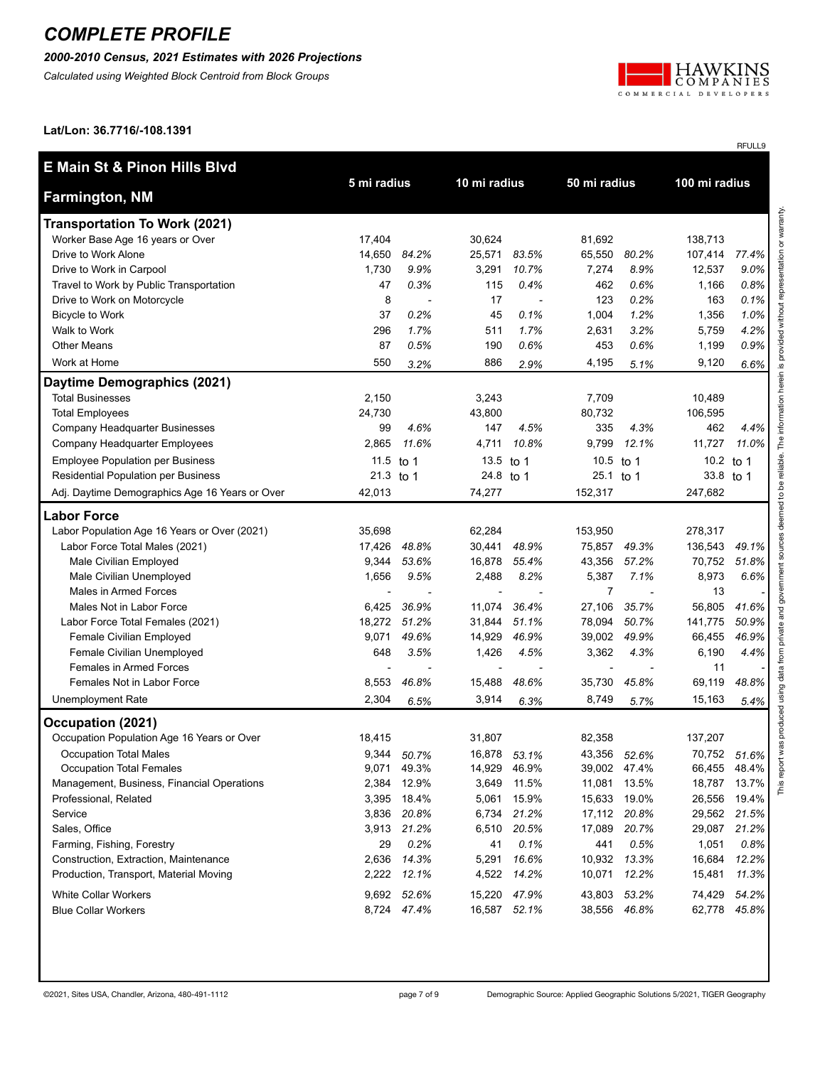#### *2000-2010 Census, 2021 Estimates with 2026 Projections*

*Calculated using Weighted Block Centroid from Block Groups*



RFULL9

**Lat/Lon: 36.7716/-108.1391**

| <b>E Main St &amp; Pinon Hills Blvd</b>        | 5 mi radius              |                          | 10 mi radius |              | 50 mi radius   |              | 100 mi radius |       |
|------------------------------------------------|--------------------------|--------------------------|--------------|--------------|----------------|--------------|---------------|-------|
| <b>Farmington, NM</b>                          |                          |                          |              |              |                |              |               |       |
| <b>Transportation To Work (2021)</b>           |                          |                          |              |              |                |              |               |       |
| Worker Base Age 16 years or Over               | 17,404                   |                          | 30,624       |              | 81,692         |              | 138,713       |       |
| Drive to Work Alone                            | 14,650                   | 84.2%                    | 25,571       | 83.5%        | 65,550         | 80.2%        | 107,414       | 77.4% |
| Drive to Work in Carpool                       | 1,730                    | 9.9%                     | 3,291        | 10.7%        | 7,274          | 8.9%         | 12,537        | 9.0%  |
| Travel to Work by Public Transportation        | 47                       | 0.3%                     | 115          | 0.4%         | 462            | 0.6%         | 1,166         | 0.8%  |
| Drive to Work on Motorcycle                    | 8                        | $\overline{\phantom{a}}$ | 17           | Ĭ.           | 123            | 0.2%         | 163           | 0.1%  |
| Bicycle to Work                                | 37                       | 0.2%                     | 45           | 0.1%         | 1,004          | 1.2%         | 1,356         | 1.0%  |
| Walk to Work                                   | 296                      | 1.7%                     | 511          | 1.7%         | 2,631          | 3.2%         | 5,759         | 4.2%  |
| <b>Other Means</b>                             | 87                       | 0.5%                     | 190          | 0.6%         | 453            | 0.6%         | 1,199         | 0.9%  |
| Work at Home                                   | 550                      | 3.2%                     | 886          | 2.9%         | 4,195          | 5.1%         | 9,120         | 6.6%  |
| Daytime Demographics (2021)                    |                          |                          |              |              |                |              |               |       |
| <b>Total Businesses</b>                        | 2,150                    |                          | 3,243        |              | 7,709          |              | 10,489        |       |
| <b>Total Employees</b>                         | 24,730                   |                          | 43,800       |              | 80,732         |              | 106,595       |       |
| Company Headquarter Businesses                 | 99                       | 4.6%                     | 147          | 4.5%         | 335            | 4.3%         | 462           | 4.4%  |
| Company Headquarter Employees                  | 2,865                    | 11.6%                    | 4,711        | 10.8%        | 9,799          | 12.1%        | 11,727        | 11.0% |
| <b>Employee Population per Business</b>        | 11.5                     | to 1                     | 13.5 to 1    |              | 10.5           | to 1         | 10.2 to 1     |       |
| Residential Population per Business            | 21.3 to 1                |                          | 24.8 to 1    |              | 25.1 to 1      |              | 33.8 to 1     |       |
| Adj. Daytime Demographics Age 16 Years or Over | 42,013                   |                          | 74,277       |              | 152,317        |              | 247,682       |       |
| <b>Labor Force</b>                             |                          |                          |              |              |                |              |               |       |
| Labor Population Age 16 Years or Over (2021)   | 35,698                   |                          | 62,284       |              | 153,950        |              | 278,317       |       |
| Labor Force Total Males (2021)                 | 17,426                   | 48.8%                    | 30,441       | 48.9%        | 75,857         | 49.3%        | 136,543       | 49.1% |
| Male Civilian Employed                         | 9,344                    | 53.6%                    | 16,878       | 55.4%        | 43,356         | 57.2%        | 70,752        | 51.8% |
| Male Civilian Unemployed                       | 1,656                    | 9.5%                     | 2,488        | 8.2%         | 5,387          | 7.1%         | 8,973         | 6.6%  |
| Males in Armed Forces                          | $\overline{\phantom{a}}$ |                          |              |              | $\overline{7}$ |              | 13            |       |
| Males Not in Labor Force                       | 6,425                    | 36.9%                    | 11,074       | 36.4%        | 27,106         | 35.7%        | 56,805        | 41.6% |
| Labor Force Total Females (2021)               | 18,272                   | 51.2%                    | 31,844       | 51.1%        | 78,094         | 50.7%        | 141,775       | 50.9% |
| <b>Female Civilian Employed</b>                | 9,071                    | 49.6%                    | 14,929       | 46.9%        | 39,002         | 49.9%        | 66,455        | 46.9% |
| Female Civilian Unemployed                     | 648                      | 3.5%                     | 1,426        | 4.5%         | 3,362          | 4.3%         | 6,190         | 4.4%  |
| <b>Females in Armed Forces</b>                 |                          |                          |              |              |                |              | 11            |       |
| Females Not in Labor Force                     | 8,553                    | 46.8%                    | 15,488       | 48.6%        | 35,730         | 45.8%        | 69,119        | 48.8% |
| <b>Unemployment Rate</b>                       | 2,304                    | 6.5%                     | 3,914        | 6.3%         | 8,749          | 5.7%         | 15,163        | 5.4%  |
| Occupation (2021)                              |                          |                          |              |              |                |              |               |       |
| Occupation Population Age 16 Years or Over     | 18,415                   |                          | 31,807       |              | 82,358         |              | 137,207       |       |
| <b>Occupation Total Males</b>                  | 9,344                    | 50.7%                    | 16,878       | 53.1%        | 43,356         | 52.6%        | 70,752        | 51.6% |
| <b>Occupation Total Females</b>                | 9,071                    | 49.3%                    | 14,929       | 46.9%        | 39,002 47.4%   |              | 66,455        | 48.4% |
| Management, Business, Financial Operations     | 2,384                    | 12.9%                    | 3,649        | 11.5%        | 11,081         | 13.5%        | 18,787        | 13.7% |
| Professional, Related                          | 3,395                    | 18.4%                    | 5,061        | 15.9%        | 15,633         | 19.0%        | 26,556        | 19.4% |
| Service                                        | 3,836                    | 20.8%                    | 6,734        | 21.2%        | 17,112         | 20.8%        | 29,562        | 21.5% |
| Sales, Office                                  | 3,913                    | 21.2%                    | 6,510        | 20.5%        | 17,089         | 20.7%        | 29,087        | 21.2% |
| Farming, Fishing, Forestry                     | 29                       | 0.2%                     | 41           | 0.1%         | 441            | 0.5%         | 1,051         | 0.8%  |
| Construction, Extraction, Maintenance          | 2,636                    | 14.3%                    | 5,291        | 16.6%        | 10,932         | 13.3%        | 16,684        | 12.2% |
| Production, Transport, Material Moving         | 2,222                    | 12.1%                    | 4,522        | 14.2%        | 10,071         | 12.2%        | 15,481        | 11.3% |
| <b>White Collar Workers</b>                    |                          | 9,692 52.6%              | 15,220       | 47.9%        | 43,803         | 53.2%        | 74,429        | 54.2% |
| <b>Blue Collar Workers</b>                     |                          | 8,724 47.4%              |              | 16,587 52.1% |                | 38,556 46.8% | 62,778        | 45.8% |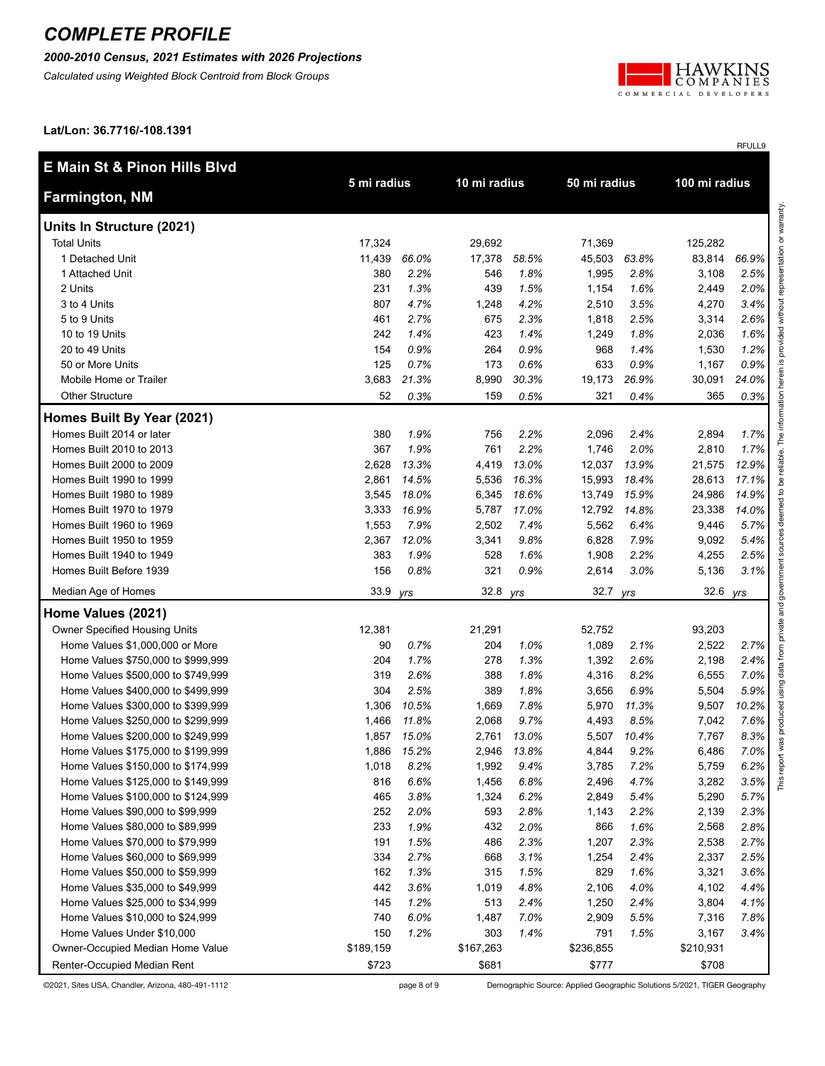#### *2000-2010 Census, 2021 Estimates with 2026 Projections*

*Calculated using Weighted Block Centroid from Block Groups*



RFULL9

**Lat/Lon: 36.7716/-108.1391**

| <b>E Main St &amp; Pinon Hills Blvd</b> |             |       |              |             |           |       |              |       |               |  |  |
|-----------------------------------------|-------------|-------|--------------|-------------|-----------|-------|--------------|-------|---------------|--|--|
| <b>Farmington, NM</b>                   | 5 mi radius |       | 10 mi radius |             |           |       | 50 mi radius |       | 100 mi radius |  |  |
| Units In Structure (2021)               |             |       |              |             |           |       |              |       |               |  |  |
| <b>Total Units</b>                      | 17,324      |       | 29,692       |             | 71,369    |       | 125,282      |       |               |  |  |
| 1 Detached Unit                         | 11,439      | 66.0% | 17,378       | 58.5%       | 45,503    | 63.8% | 83,814       | 66.9% |               |  |  |
| 1 Attached Unit                         | 380         | 2.2%  | 546          | 1.8%        | 1,995     | 2.8%  | 3,108        | 2.5%  |               |  |  |
| 2 Units                                 | 231         | 1.3%  | 439          | 1.5%        | 1,154     | 1.6%  | 2,449        | 2.0%  |               |  |  |
| 3 to 4 Units                            | 807         | 4.7%  | 1,248        | 4.2%        | 2,510     | 3.5%  | 4,270        | 3.4%  |               |  |  |
| 5 to 9 Units                            | 461         | 2.7%  | 675          | 2.3%        | 1,818     | 2.5%  | 3,314        | 2.6%  |               |  |  |
| 10 to 19 Units                          | 242         | 1.4%  | 423          | 1.4%        | 1,249     | 1.8%  | 2,036        | 1.6%  |               |  |  |
| 20 to 49 Units                          | 154         | 0.9%  | 264          | 0.9%        | 968       | 1.4%  | 1,530        | 1.2%  |               |  |  |
| 50 or More Units                        | 125         | 0.7%  | 173          | 0.6%        | 633       | 0.9%  | 1,167        | 0.9%  |               |  |  |
| Mobile Home or Trailer                  | 3,683       | 21.3% | 8,990        | 30.3%       | 19,173    | 26.9% | 30,091       | 24.0% |               |  |  |
| <b>Other Structure</b>                  | 52          | 0.3%  | 159          | 0.5%        | 321       | 0.4%  | 365          | 0.3%  |               |  |  |
| Homes Built By Year (2021)              |             |       |              |             |           |       |              |       |               |  |  |
| Homes Built 2014 or later               | 380         | 1.9%  | 756          | 2.2%        | 2,096     | 2.4%  | 2,894        | 1.7%  |               |  |  |
| Homes Built 2010 to 2013                | 367         | 1.9%  | 761          | 2.2%        | 1,746     | 2.0%  | 2,810        | 1.7%  |               |  |  |
| Homes Built 2000 to 2009                | 2,628       | 13.3% | 4,419        | 13.0%       | 12,037    | 13.9% | 21,575       | 12.9% |               |  |  |
| Homes Built 1990 to 1999                | 2,861       | 14.5% | 5,536        | 16.3%       | 15,993    | 18.4% | 28,613       | 17.1% |               |  |  |
| Homes Built 1980 to 1989                | 3,545       | 18.0% | 6,345        | 18.6%       | 13,749    | 15.9% | 24,986       | 14.9% |               |  |  |
| Homes Built 1970 to 1979                | 3,333       | 16.9% | 5,787        | 17.0%       | 12,792    | 14.8% | 23,338       | 14.0% |               |  |  |
| Homes Built 1960 to 1969                | 1,553       | 7.9%  | 2,502        | 7.4%        | 5,562     | 6.4%  | 9,446        | 5.7%  |               |  |  |
| Homes Built 1950 to 1959                | 2,367       | 12.0% | 3,341        | 9.8%        | 6,828     | 7.9%  | 9,092        | 5.4%  |               |  |  |
| Homes Built 1940 to 1949                | 383         | 1.9%  | 528          | 1.6%        | 1,908     | 2.2%  | 4,255        | 2.5%  |               |  |  |
| Homes Built Before 1939                 | 156         | 0.8%  | 321          | 0.9%        | 2,614     | 3.0%  | 5,136        | 3.1%  |               |  |  |
| Median Age of Homes                     | 33.9        | yrs   | 32.8 yrs     |             | 32.7      | yrs   | 32.6         | yrs   |               |  |  |
| Home Values (2021)                      |             |       |              |             |           |       |              |       |               |  |  |
| Owner Specified Housing Units           | 12,381      |       | 21,291       |             | 52,752    |       | 93,203       |       |               |  |  |
| Home Values \$1,000,000 or More         | 90          | 0.7%  | 204          | 1.0%        | 1,089     | 2.1%  | 2,522        | 2.7%  |               |  |  |
| Home Values \$750,000 to \$999,999      | 204         | 1.7%  | 278          | 1.3%        | 1,392     | 2.6%  | 2,198        | 2.4%  |               |  |  |
| Home Values \$500,000 to \$749,999      | 319         | 2.6%  | 388          | 1.8%        | 4,316     | 8.2%  | 6,555        | 7.0%  |               |  |  |
| Home Values \$400,000 to \$499,999      | 304         | 2.5%  | 389          | 1.8%        | 3,656     | 6.9%  | 5,504        | 5.9%  |               |  |  |
| Home Values \$300,000 to \$399,999      | 1,306       | 10.5% | 1,669        | 7.8%        | 5,970     | 11.3% | 9,507        | 10.2% |               |  |  |
| Home Values \$250,000 to \$299,999      | 1,466       | 11.8% | 2,068        | 9.7%        | 4,493     | 8.5%  | 7,042        | 7.6%  |               |  |  |
| Home Values \$200,000 to \$249,999      | 1,857       | 15.0% | 2,761        | 13.0%       | 5,507     | 10.4% | 7,767        | 8.3%  |               |  |  |
| Home Values \$175,000 to \$199,999      | 1,886       | 15.2% |              | 2,946 13.8% | 4,844     | 9.2%  | 6,486        | 7.0%  |               |  |  |
| Home Values \$150,000 to \$174,999      | 1,018       | 8.2%  | 1,992        | 9.4%        | 3,785     | 7.2%  | 5,759        | 6.2%  |               |  |  |
| Home Values \$125,000 to \$149,999      | 816         | 6.6%  | 1,456        | 6.8%        | 2,496     | 4.7%  | 3,282        | 3.5%  |               |  |  |
| Home Values \$100,000 to \$124,999      | 465         | 3.8%  | 1,324        | 6.2%        | 2,849     | 5.4%  | 5,290        | 5.7%  |               |  |  |
| Home Values \$90,000 to \$99,999        | 252         | 2.0%  | 593          | 2.8%        | 1,143     | 2.2%  | 2,139        | 2.3%  |               |  |  |
| Home Values \$80,000 to \$89,999        | 233         | 1.9%  | 432          | 2.0%        | 866       | 1.6%  | 2,568        | 2.8%  |               |  |  |
| Home Values \$70,000 to \$79,999        | 191         | 1.5%  | 486          | 2.3%        | 1,207     | 2.3%  | 2,538        | 2.7%  |               |  |  |
| Home Values \$60,000 to \$69,999        | 334         | 2.7%  | 668          | 3.1%        | 1,254     | 2.4%  | 2,337        | 2.5%  |               |  |  |
| Home Values \$50,000 to \$59,999        | 162         | 1.3%  | 315          | 1.5%        | 829       | 1.6%  | 3,321        | 3.6%  |               |  |  |
| Home Values \$35,000 to \$49,999        | 442         | 3.6%  | 1,019        | 4.8%        | 2,106     | 4.0%  | 4,102        | 4.4%  |               |  |  |
| Home Values \$25,000 to \$34,999        | 145         | 1.2%  | 513          | 2.4%        | 1,250     | 2.4%  | 3,804        | 4.1%  |               |  |  |
| Home Values \$10,000 to \$24,999        | 740         | 6.0%  | 1,487        | 7.0%        | 2,909     | 5.5%  | 7,316        | 7.8%  |               |  |  |
| Home Values Under \$10,000              | 150         | 1.2%  | 303          | 1.4%        | 791       | 1.5%  | 3,167        | 3.4%  |               |  |  |
| Owner-Occupied Median Home Value        | \$189,159   |       | \$167,263    |             | \$236,855 |       | \$210,931    |       |               |  |  |
| Renter-Occupied Median Rent             | \$723       |       | \$681        |             | \$777     |       | \$708        |       |               |  |  |

©2021, Sites USA, Chandler, Arizona, 480-491-1112 page 8 of 9 Demographic Source: Applied Geographic Solutions 5/2021, TIGER Geography